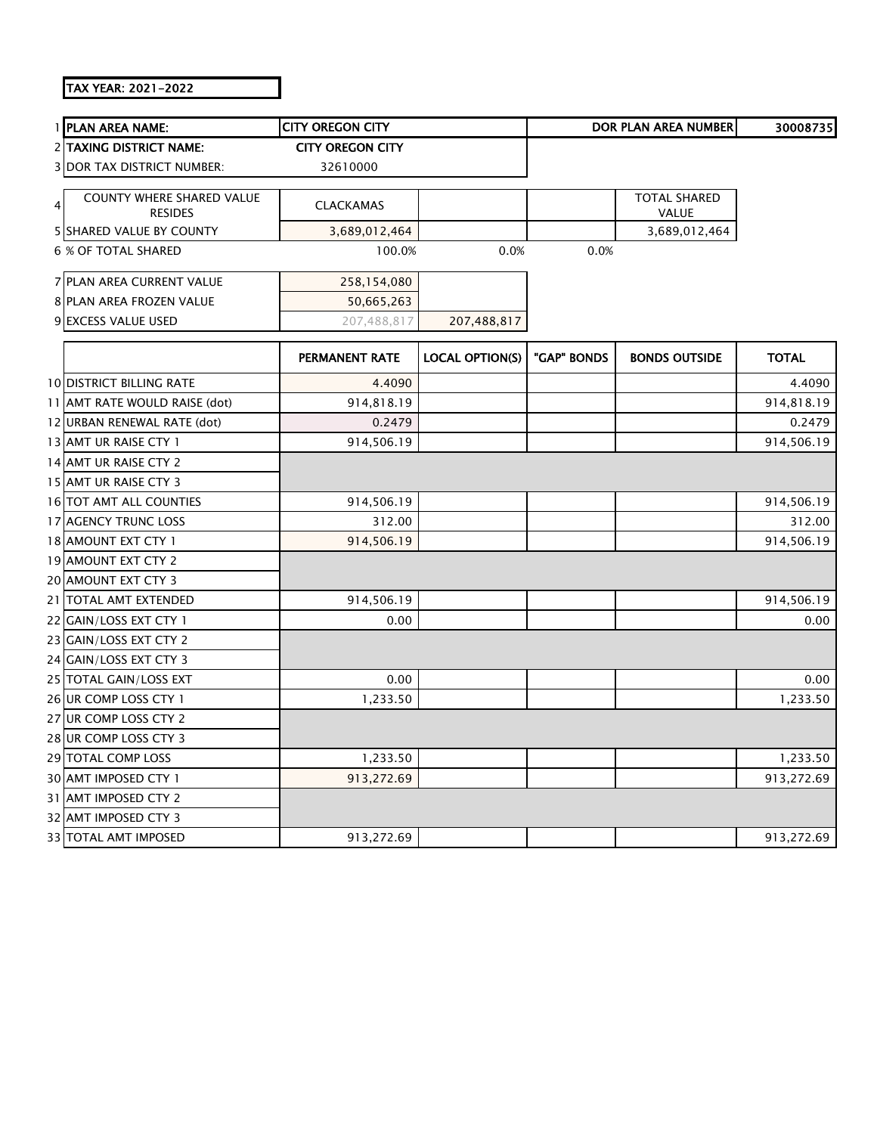## TAX YEAR: 2021-2022

|   | 1 PLAN AREA NAME:                           | <b>CITY OREGON CITY</b> |                        |             | <b>DOR PLAN AREA NUMBER</b>         | 30008735     |
|---|---------------------------------------------|-------------------------|------------------------|-------------|-------------------------------------|--------------|
|   | <b>2 TAXING DISTRICT NAME:</b>              | <b>CITY OREGON CITY</b> |                        |             |                                     |              |
|   | <b>3 DOR TAX DISTRICT NUMBER:</b>           | 32610000                |                        |             |                                     |              |
| 4 | COUNTY WHERE SHARED VALUE<br><b>RESIDES</b> | <b>CLACKAMAS</b>        |                        |             | <b>TOTAL SHARED</b><br><b>VALUE</b> |              |
|   | 5 SHARED VALUE BY COUNTY                    | 3,689,012,464           |                        |             | 3,689,012,464                       |              |
|   | <b>6 % OF TOTAL SHARED</b>                  | 100.0%                  | 0.0%                   | 0.0%        |                                     |              |
|   | 7 PLAN AREA CURRENT VALUE                   | 258,154,080             |                        |             |                                     |              |
|   | 8 PLAN AREA FROZEN VALUE                    | 50,665,263              |                        |             |                                     |              |
|   | 9 EXCESS VALUE USED                         | 207,488,817             | 207,488,817            |             |                                     |              |
|   |                                             | <b>PERMANENT RATE</b>   | <b>LOCAL OPTION(S)</b> | "GAP" BONDS | <b>BONDS OUTSIDE</b>                | <b>TOTAL</b> |
|   | <b>10 DISTRICT BILLING RATE</b>             | 4.4090                  |                        |             |                                     | 4.4090       |
|   | 11 AMT RATE WOULD RAISE (dot)               | 914,818.19              |                        |             |                                     | 914,818.19   |
|   | 12 URBAN RENEWAL RATE (dot)                 | 0.2479                  |                        |             |                                     | 0.2479       |
|   | 13 AMT UR RAISE CTY 1                       | 914,506.19              |                        |             |                                     | 914,506.19   |
|   | 14 AMT UR RAISE CTY 2                       |                         |                        |             |                                     |              |
|   | 15 AMT UR RAISE CTY 3                       |                         |                        |             |                                     |              |
|   | 16 TOT AMT ALL COUNTIES                     | 914,506.19              |                        |             |                                     | 914,506.19   |
|   | 17 AGENCY TRUNC LOSS                        | 312.00                  |                        |             |                                     | 312.00       |
|   | 18 AMOUNT EXT CTY 1                         | 914,506.19              |                        |             |                                     | 914,506.19   |
|   | 19 AMOUNT EXT CTY 2                         |                         |                        |             |                                     |              |
|   | 20 AMOUNT EXT CTY 3                         |                         |                        |             |                                     |              |
|   | 21 TOTAL AMT EXTENDED                       | 914,506.19              |                        |             |                                     | 914,506.19   |
|   | 22 GAIN/LOSS EXT CTY 1                      | 0.00                    |                        |             |                                     | 0.00         |
|   | 23 GAIN/LOSS EXT CTY 2                      |                         |                        |             |                                     |              |
|   | 24 GAIN/LOSS EXT CTY 3                      |                         |                        |             |                                     |              |
|   | 25 TOTAL GAIN/LOSS EXT                      | 0.00                    |                        |             |                                     | 0.00         |
|   | 26 UR COMP LOSS CTY 1                       | 1,233.50                |                        |             |                                     | 1,233.50     |
|   | 27 UR COMP LOSS CTY 2                       |                         |                        |             |                                     |              |
|   | 28 UR COMP LOSS CTY 3                       |                         |                        |             |                                     |              |
|   | 29 TOTAL COMP LOSS                          | 1,233.50                |                        |             |                                     | 1,233.50     |
|   | 30 AMT IMPOSED CTY 1                        | 913,272.69              |                        |             |                                     | 913,272.69   |
|   | 31 AMT IMPOSED CTY 2                        |                         |                        |             |                                     |              |
|   | 32 AMT IMPOSED CTY 3                        |                         |                        |             |                                     |              |
|   | 33 TOTAL AMT IMPOSED                        | 913,272.69              |                        |             |                                     | 913,272.69   |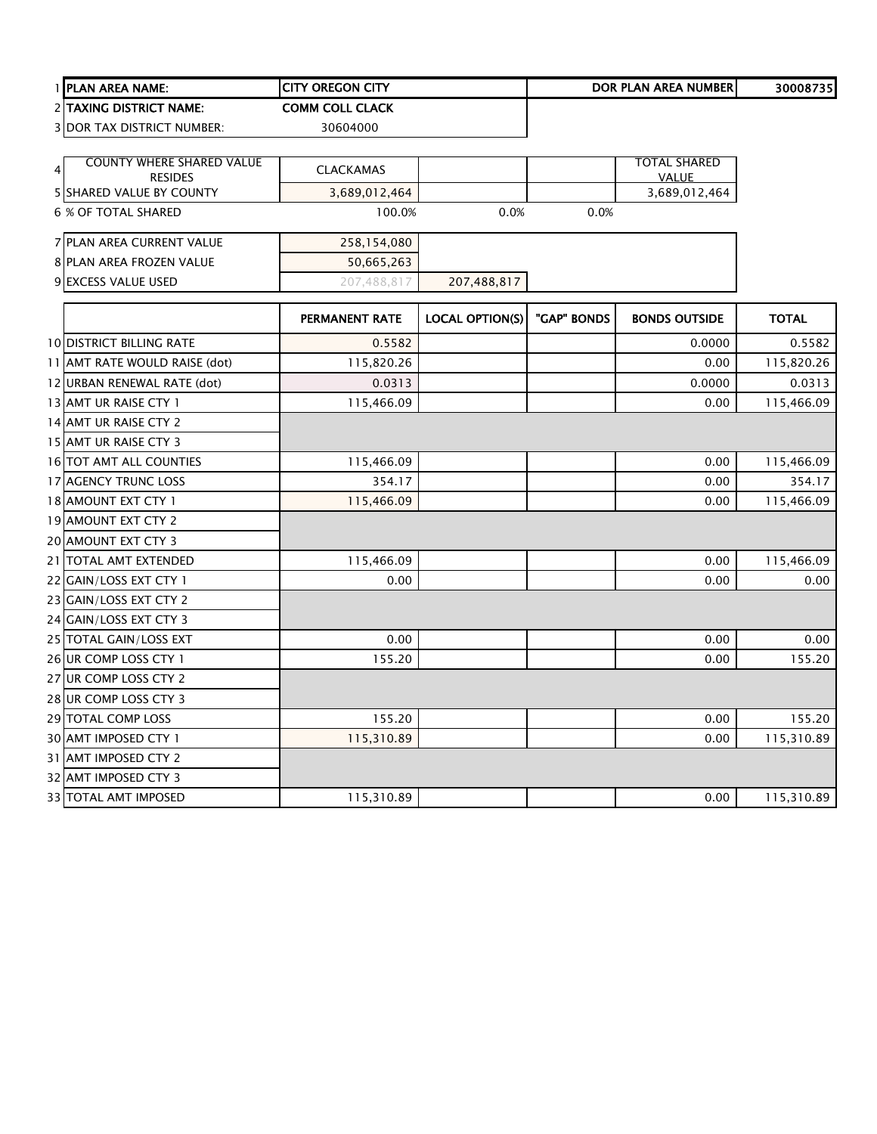|   | 1 PLAN AREA NAME:                          | <b>CITY OREGON CITY</b> |                        |             | <b>DOR PLAN AREA NUMBER</b>   | 30008735     |
|---|--------------------------------------------|-------------------------|------------------------|-------------|-------------------------------|--------------|
|   | 2 TAXING DISTRICT NAME:                    | <b>COMM COLL CLACK</b>  |                        |             |                               |              |
|   | <b>3 DOR TAX DISTRICT NUMBER:</b>          | 30604000                |                        |             |                               |              |
|   |                                            |                         |                        |             |                               |              |
| 4 | <b>COUNTY WHERE SHARED VALUE</b>           | <b>CLACKAMAS</b>        |                        |             | TOTAL SHARED                  |              |
|   | <b>RESIDES</b><br>5 SHARED VALUE BY COUNTY | 3,689,012,464           |                        |             | <b>VALUE</b><br>3,689,012,464 |              |
|   | 6 % OF TOTAL SHARED                        | 100.0%                  | 0.0%                   | 0.0%        |                               |              |
|   | 7 PLAN AREA CURRENT VALUE                  | 258,154,080             |                        |             |                               |              |
|   | 8 PLAN AREA FROZEN VALUE                   | 50,665,263              |                        |             |                               |              |
|   | 9 EXCESS VALUE USED                        | 207,488,817             | 207,488,817            |             |                               |              |
|   |                                            | PERMANENT RATE          | <b>LOCAL OPTION(S)</b> | "GAP" BONDS | <b>BONDS OUTSIDE</b>          | <b>TOTAL</b> |
|   | <b>10 DISTRICT BILLING RATE</b>            | 0.5582                  |                        |             | 0.0000                        | 0.5582       |
|   | 11 AMT RATE WOULD RAISE (dot)              | 115,820.26              |                        |             | 0.00                          | 115,820.26   |
|   | 12 URBAN RENEWAL RATE (dot)                | 0.0313                  |                        |             | 0.0000                        | 0.0313       |
|   | 13 AMT UR RAISE CTY 1                      | 115,466.09              |                        |             | 0.00                          | 115,466.09   |
|   | 14 AMT UR RAISE CTY 2                      |                         |                        |             |                               |              |
|   | 15 AMT UR RAISE CTY 3                      |                         |                        |             |                               |              |
|   | 16 TOT AMT ALL COUNTIES                    | 115,466.09              |                        |             | 0.00                          | 115,466.09   |
|   | 17 AGENCY TRUNC LOSS                       | 354.17                  |                        |             | 0.00                          | 354.17       |
|   | 18 AMOUNT EXT CTY 1                        | 115,466.09              |                        |             | 0.00                          | 115,466.09   |
|   | 19 AMOUNT EXT CTY 2                        |                         |                        |             |                               |              |
|   | 20 AMOUNT EXT CTY 3                        |                         |                        |             |                               |              |
|   | 21   TOTAL AMT EXTENDED                    | 115,466.09              |                        |             | 0.00                          | 115,466.09   |
|   | 22 GAIN/LOSS EXT CTY 1                     | 0.00                    |                        |             | 0.00                          | 0.00         |
|   | 23 GAIN/LOSS EXT CTY 2                     |                         |                        |             |                               |              |
|   | 24 GAIN/LOSS EXT CTY 3                     |                         |                        |             |                               |              |
|   | 25 TOTAL GAIN/LOSS EXT                     | 0.00                    |                        |             | 0.00                          | 0.00         |
|   | 26 UR COMP LOSS CTY 1                      | 155.20                  |                        |             | 0.00                          | 155.20       |
|   | 27 UR COMP LOSS CTY 2                      |                         |                        |             |                               |              |
|   | 28 UR COMP LOSS CTY 3                      |                         |                        |             |                               |              |
|   | 29 TOTAL COMP LOSS                         | 155.20                  |                        |             | 0.00                          | 155.20       |
|   | 30 AMT IMPOSED CTY 1                       | 115,310.89              |                        |             | 0.00                          | 115,310.89   |
|   | 31 AMT IMPOSED CTY 2                       |                         |                        |             |                               |              |
|   | 32 AMT IMPOSED CTY 3                       |                         |                        |             |                               |              |

TOTAL AMT IMPOSED 115,310.89 0.00 115,310.89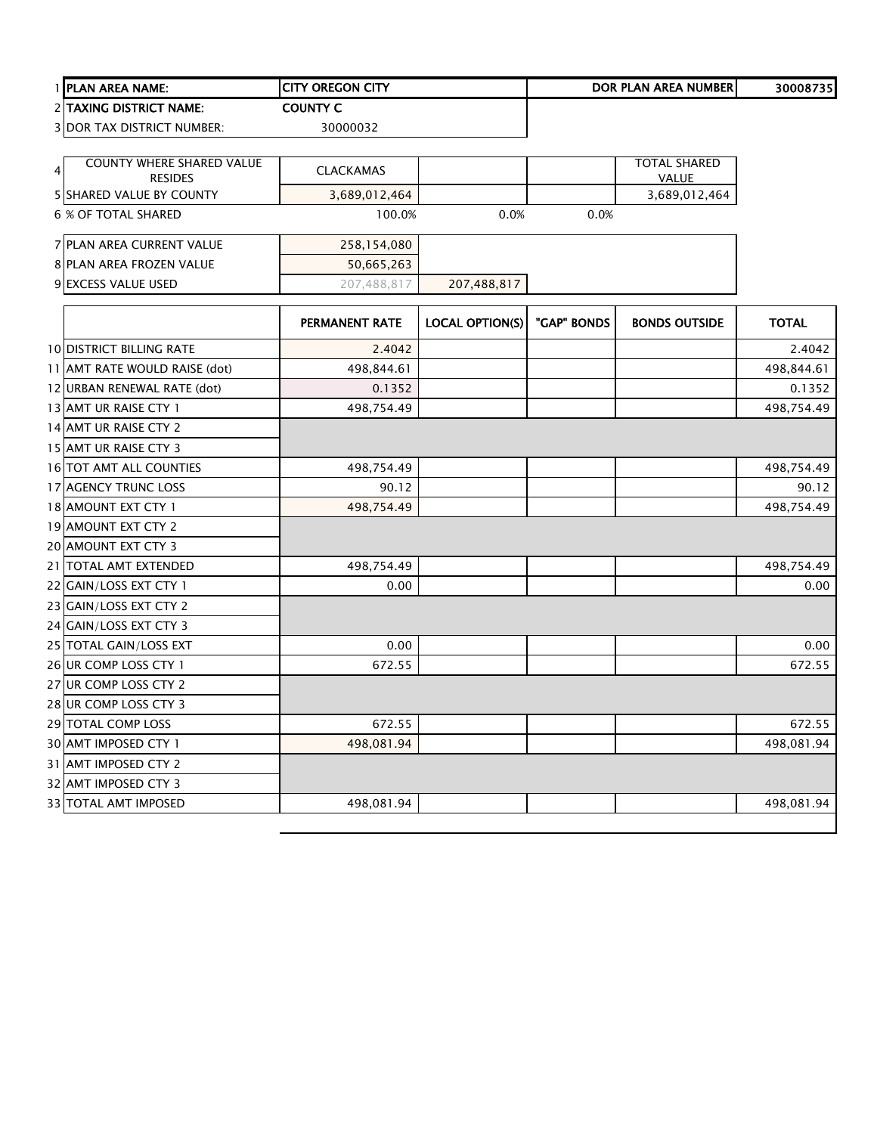|               | 1 PLAN AREA NAME:                          | <b>CITY OREGON CITY</b> |                        |             | <b>DOR PLAN AREA NUMBER</b> | 30008735     |
|---------------|--------------------------------------------|-------------------------|------------------------|-------------|-----------------------------|--------------|
|               | 2 TAXING DISTRICT NAME:                    | <b>COUNTY C</b>         |                        |             |                             |              |
|               | <b>3 DOR TAX DISTRICT NUMBER:</b>          | 30000032                |                        |             |                             |              |
|               |                                            |                         |                        |             |                             |              |
| $\frac{4}{ }$ | <b>COUNTY WHERE SHARED VALUE</b>           | <b>CLACKAMAS</b>        |                        |             | <b>TOTAL SHARED</b>         |              |
|               | <b>RESIDES</b><br>5 SHARED VALUE BY COUNTY | 3,689,012,464           |                        |             | VALUE<br>3,689,012,464      |              |
|               | 6 % OF TOTAL SHARED                        | 100.0%                  | 0.0%                   | 0.0%        |                             |              |
|               |                                            |                         |                        |             |                             |              |
|               | 7 PLAN AREA CURRENT VALUE                  | 258,154,080             |                        |             |                             |              |
|               | 8 PLAN AREA FROZEN VALUE                   | 50,665,263              |                        |             |                             |              |
|               | 9 EXCESS VALUE USED                        | 207,488,817             | 207,488,817            |             |                             |              |
|               |                                            |                         |                        |             |                             |              |
|               |                                            | <b>PERMANENT RATE</b>   | <b>LOCAL OPTION(S)</b> | "GAP" BONDS | <b>BONDS OUTSIDE</b>        | <b>TOTAL</b> |
|               | <b>10 DISTRICT BILLING RATE</b>            | 2.4042                  |                        |             |                             | 2.4042       |
|               | 11 AMT RATE WOULD RAISE (dot)              | 498,844.61              |                        |             |                             | 498,844.61   |
|               | 12 URBAN RENEWAL RATE (dot)                | 0.1352                  |                        |             |                             | 0.1352       |
|               | 13 AMT UR RAISE CTY 1                      | 498,754.49              |                        |             |                             | 498,754.49   |
|               | 14 AMT UR RAISE CTY 2                      |                         |                        |             |                             |              |
|               | 15 AMT UR RAISE CTY 3                      |                         |                        |             |                             |              |
|               | 16 TOT AMT ALL COUNTIES                    | 498,754.49              |                        |             |                             | 498,754.49   |
|               | 17 AGENCY TRUNC LOSS                       | 90.12                   |                        |             |                             | 90.12        |
|               | 18 AMOUNT EXT CTY 1                        | 498,754.49              |                        |             |                             | 498,754.49   |
|               | 19 AMOUNT EXT CTY 2                        |                         |                        |             |                             |              |
|               | 20 AMOUNT EXT CTY 3                        |                         |                        |             |                             |              |
|               | 21 TOTAL AMT EXTENDED                      | 498,754.49              |                        |             |                             | 498,754.49   |
|               | 22 GAIN/LOSS EXT CTY 1                     | 0.00                    |                        |             |                             | 0.00         |
|               | 23 GAIN/LOSS EXT CTY 2                     |                         |                        |             |                             |              |
|               | 24 GAIN/LOSS EXT CTY 3                     |                         |                        |             |                             |              |
|               | 25 TOTAL GAIN/LOSS EXT                     | 0.00                    |                        |             |                             | 0.00         |
|               | 26 UR COMP LOSS CTY 1                      | 672.55                  |                        |             |                             | 672.55       |
|               | 27 UR COMP LOSS CTY 2                      |                         |                        |             |                             |              |
|               | 28 UR COMP LOSS CTY 3                      |                         |                        |             |                             |              |
|               | 29 TOTAL COMP LOSS                         | 672.55                  |                        |             |                             | 672.55       |
|               | 30 AMT IMPOSED CTY 1                       | 498,081.94              |                        |             |                             | 498,081.94   |
|               | 31 AMT IMPOSED CTY 2                       |                         |                        |             |                             |              |
|               | 32 AMT IMPOSED CTY 3                       |                         |                        |             |                             |              |
|               | 33 TOTAL AMT IMPOSED                       | 498,081.94              |                        |             |                             | 498,081.94   |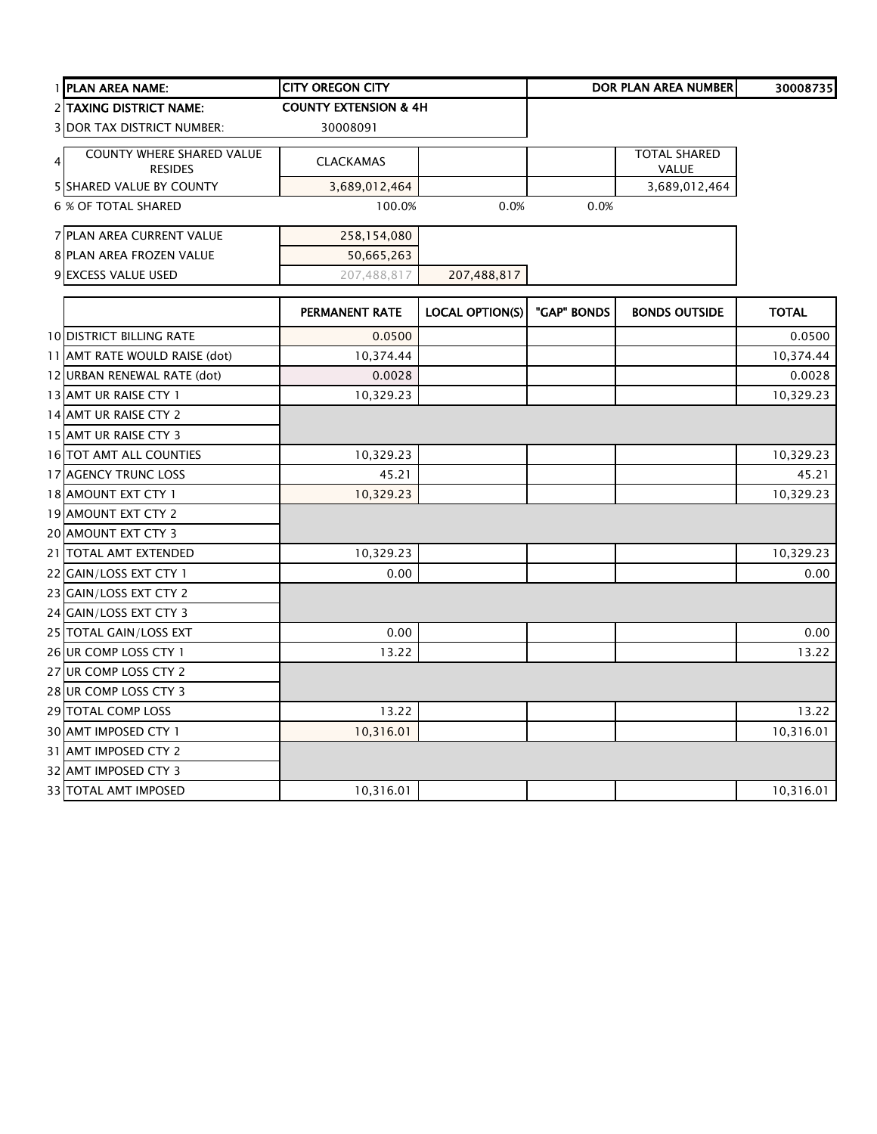| 1 PLAN AREA NAME:                                                    | <b>CITY OREGON CITY</b>          |                        |             | <b>DOR PLAN AREA NUMBER</b>  | 30008735     |
|----------------------------------------------------------------------|----------------------------------|------------------------|-------------|------------------------------|--------------|
| 2 TAXING DISTRICT NAME:                                              | <b>COUNTY EXTENSION &amp; 4H</b> |                        |             |                              |              |
| <b>3 DOR TAX DISTRICT NUMBER:</b>                                    | 30008091                         |                        |             |                              |              |
| <b>COUNTY WHERE SHARED VALUE</b><br>$\overline{4}$<br><b>RESIDES</b> | <b>CLACKAMAS</b>                 |                        |             | <b>TOTAL SHARED</b><br>VALUE |              |
| <b>5 SHARED VALUE BY COUNTY</b>                                      | 3,689,012,464                    |                        |             | 3,689,012,464                |              |
| <b>6 % OF TOTAL SHARED</b>                                           | 100.0%                           | 0.0%                   | 0.0%        |                              |              |
| 7 PLAN AREA CURRENT VALUE                                            | 258,154,080                      |                        |             |                              |              |
| 8 PLAN AREA FROZEN VALUE                                             | 50,665,263                       |                        |             |                              |              |
| 9 EXCESS VALUE USED                                                  | 207,488,817                      | 207,488,817            |             |                              |              |
|                                                                      | PERMANENT RATE                   | <b>LOCAL OPTION(S)</b> | "GAP" BONDS | <b>BONDS OUTSIDE</b>         | <b>TOTAL</b> |
| <b>10 DISTRICT BILLING RATE</b>                                      | 0.0500                           |                        |             |                              | 0.0500       |
| 11 AMT RATE WOULD RAISE (dot)                                        | 10,374.44                        |                        |             |                              | 10,374.44    |
| 12 URBAN RENEWAL RATE (dot)                                          | 0.0028                           |                        |             |                              | 0.0028       |
| 13 AMT UR RAISE CTY 1                                                | 10,329.23                        |                        |             |                              | 10,329.23    |
| 14 AMT UR RAISE CTY 2                                                |                                  |                        |             |                              |              |
| 15 AMT UR RAISE CTY 3                                                |                                  |                        |             |                              |              |
| 16 TOT AMT ALL COUNTIES                                              | 10,329.23                        |                        |             |                              | 10,329.23    |
| 17 AGENCY TRUNC LOSS                                                 | 45.21                            |                        |             |                              | 45.21        |
| 18 AMOUNT EXT CTY 1                                                  | 10,329.23                        |                        |             |                              | 10,329.23    |
| 19 AMOUNT EXT CTY 2                                                  |                                  |                        |             |                              |              |
| 20 AMOUNT EXT CTY 3                                                  |                                  |                        |             |                              |              |
| 21 TOTAL AMT EXTENDED                                                | 10,329.23                        |                        |             |                              | 10,329.23    |
| 22 GAIN/LOSS EXT CTY 1                                               | 0.00                             |                        |             |                              | 0.00         |
| 23 GAIN/LOSS EXT CTY 2                                               |                                  |                        |             |                              |              |
| 24 GAIN/LOSS EXT CTY 3                                               |                                  |                        |             |                              |              |
| 25 TOTAL GAIN/LOSS EXT                                               | 0.00                             |                        |             |                              | 0.00         |
| 26 UR COMP LOSS CTY 1                                                | 13.22                            |                        |             |                              | 13.22        |
| 27 UR COMP LOSS CTY 2                                                |                                  |                        |             |                              |              |
| 28 UR COMP LOSS CTY 3                                                |                                  |                        |             |                              |              |
| 29 TOTAL COMP LOSS                                                   | 13.22                            |                        |             |                              | 13.22        |
| 30 AMT IMPOSED CTY 1                                                 | 10,316.01                        |                        |             |                              | 10,316.01    |
| 31 AMT IMPOSED CTY 2                                                 |                                  |                        |             |                              |              |
| 32 AMT IMPOSED CTY 3                                                 |                                  |                        |             |                              |              |
| 33 TOTAL AMT IMPOSED                                                 | 10,316.01                        |                        |             |                              | 10,316.01    |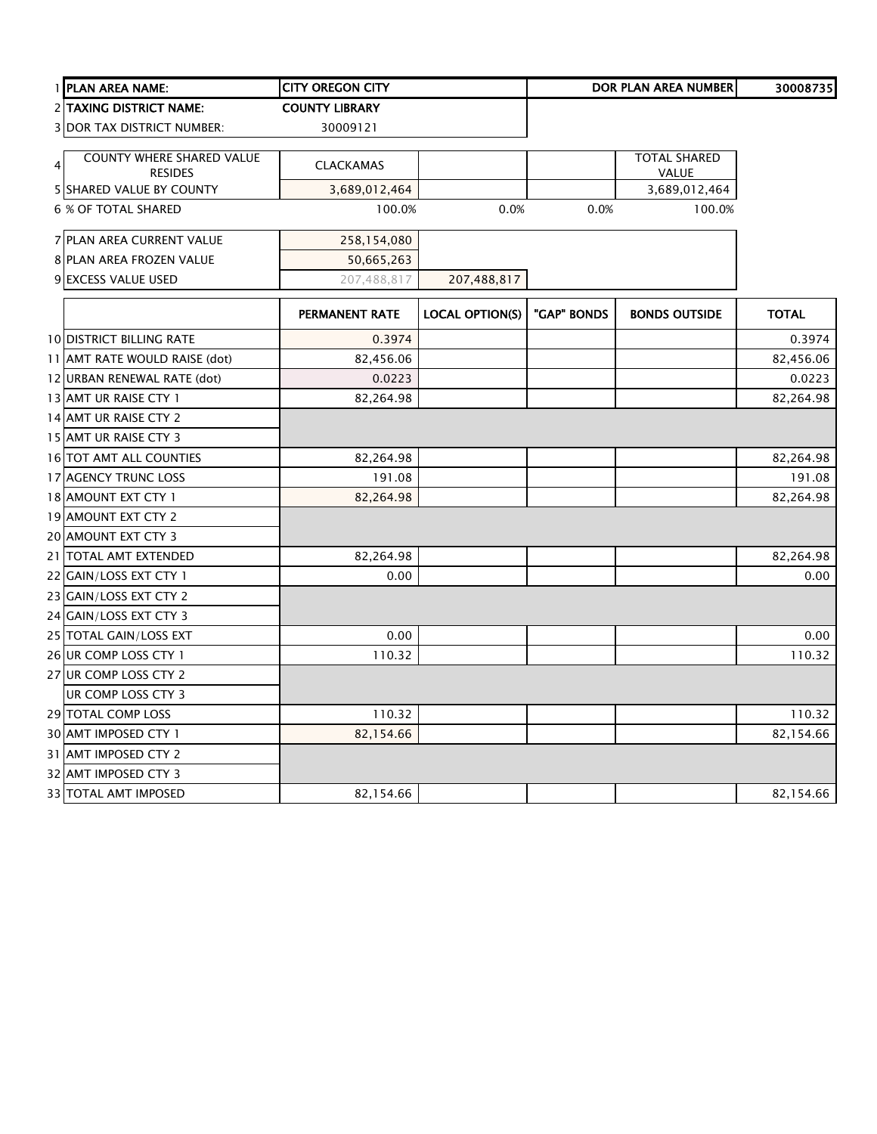|   | 1 PLAN AREA NAME:                           | <b>CITY OREGON CITY</b> |                        |             | <b>DOR PLAN AREA NUMBER</b>  | 30008735     |
|---|---------------------------------------------|-------------------------|------------------------|-------------|------------------------------|--------------|
|   | 2 TAXING DISTRICT NAME:                     | <b>COUNTY LIBRARY</b>   |                        |             |                              |              |
|   | <b>3 DOR TAX DISTRICT NUMBER:</b>           | 30009121                |                        |             |                              |              |
| 4 | COUNTY WHERE SHARED VALUE<br><b>RESIDES</b> | <b>CLACKAMAS</b>        |                        |             | <b>TOTAL SHARED</b><br>VALUE |              |
|   | <b>5 SHARED VALUE BY COUNTY</b>             | 3,689,012,464           |                        |             | 3,689,012,464                |              |
|   | <b>6 % OF TOTAL SHARED</b>                  | 100.0%                  | 0.0%                   | 0.0%        | 100.0%                       |              |
|   | 7 PLAN AREA CURRENT VALUE                   | 258,154,080             |                        |             |                              |              |
|   | 8 PLAN AREA FROZEN VALUE                    | 50,665,263              |                        |             |                              |              |
|   | 9 EXCESS VALUE USED                         | 207,488,817             | 207,488,817            |             |                              |              |
|   |                                             | PERMANENT RATE          | <b>LOCAL OPTION(S)</b> | "GAP" BONDS | <b>BONDS OUTSIDE</b>         | <b>TOTAL</b> |
|   | <b>10 DISTRICT BILLING RATE</b>             | 0.3974                  |                        |             |                              | 0.3974       |
|   | 11 AMT RATE WOULD RAISE (dot)               | 82,456.06               |                        |             |                              | 82,456.06    |
|   | 12 URBAN RENEWAL RATE (dot)                 | 0.0223                  |                        |             |                              | 0.0223       |
|   | 13 AMT UR RAISE CTY 1                       | 82,264.98               |                        |             |                              | 82,264.98    |
|   | 14 AMT UR RAISE CTY 2                       |                         |                        |             |                              |              |
|   | 15 AMT UR RAISE CTY 3                       |                         |                        |             |                              |              |
|   | 16 TOT AMT ALL COUNTIES                     | 82,264.98               |                        |             |                              | 82,264.98    |
|   | 17 AGENCY TRUNC LOSS                        | 191.08                  |                        |             |                              | 191.08       |
|   | 18 AMOUNT EXT CTY 1                         | 82,264.98               |                        |             |                              | 82,264.98    |
|   | 19 AMOUNT EXT CTY 2                         |                         |                        |             |                              |              |
|   | 20 AMOUNT EXT CTY 3                         |                         |                        |             |                              |              |
|   | 21 TOTAL AMT EXTENDED                       | 82,264.98               |                        |             |                              | 82,264.98    |
|   | 22 GAIN/LOSS EXT CTY 1                      | 0.00                    |                        |             |                              | 0.00         |
|   | 23 GAIN/LOSS EXT CTY 2                      |                         |                        |             |                              |              |
|   | 24 GAIN/LOSS EXT CTY 3                      |                         |                        |             |                              |              |
|   | 25 TOTAL GAIN/LOSS EXT                      | 0.00                    |                        |             |                              | 0.00         |
|   | 26 UR COMP LOSS CTY 1                       | 110.32                  |                        |             |                              | 110.32       |
|   | 27 UR COMP LOSS CTY 2                       |                         |                        |             |                              |              |
|   | UR COMP LOSS CTY 3                          |                         |                        |             |                              |              |
|   | 29 TOTAL COMP LOSS                          | 110.32                  |                        |             |                              | 110.32       |
|   | 30 AMT IMPOSED CTY 1                        | 82,154.66               |                        |             |                              | 82,154.66    |
|   | 31 AMT IMPOSED CTY 2                        |                         |                        |             |                              |              |
|   | 32 AMT IMPOSED CTY 3                        |                         |                        |             |                              |              |
|   | 33 TOTAL AMT IMPOSED                        | 82,154.66               |                        |             |                              | 82,154.66    |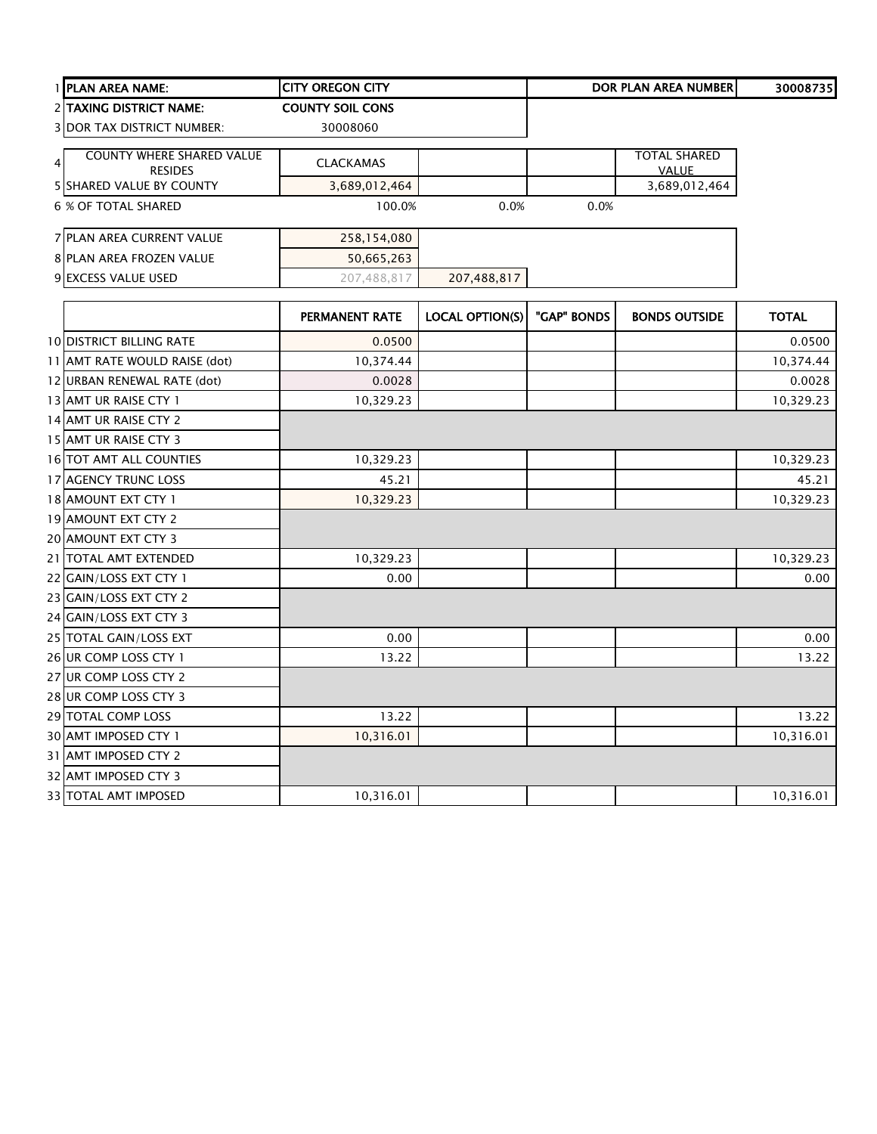| 1 PLAN AREA NAME:                                  | <b>CITY OREGON CITY</b> |                        |             | <b>DOR PLAN AREA NUMBER</b> | 30008735     |
|----------------------------------------------------|-------------------------|------------------------|-------------|-----------------------------|--------------|
| 2 TAXING DISTRICT NAME:                            | <b>COUNTY SOIL CONS</b> |                        |             |                             |              |
| <b>3 DOR TAX DISTRICT NUMBER:</b>                  | 30008060                |                        |             |                             |              |
| <b>COUNTY WHERE SHARED VALUE</b><br>$\overline{4}$ |                         |                        |             | <b>TOTAL SHARED</b>         |              |
| <b>RESIDES</b>                                     | <b>CLACKAMAS</b>        |                        |             | <b>VALUE</b>                |              |
| 5 SHARED VALUE BY COUNTY                           | 3,689,012,464           |                        |             | 3,689,012,464               |              |
| <b>6 % OF TOTAL SHARED</b>                         | 100.0%                  | 0.0%                   | 0.0%        |                             |              |
| 7 PLAN AREA CURRENT VALUE                          | 258,154,080             |                        |             |                             |              |
| 8 PLAN AREA FROZEN VALUE                           | 50,665,263              |                        |             |                             |              |
| 9 EXCESS VALUE USED                                | 207,488,817             | 207,488,817            |             |                             |              |
|                                                    | PERMANENT RATE          | <b>LOCAL OPTION(S)</b> | "GAP" BONDS | <b>BONDS OUTSIDE</b>        | <b>TOTAL</b> |
| 10 DISTRICT BILLING RATE                           | 0.0500                  |                        |             |                             | 0.0500       |
| 11 AMT RATE WOULD RAISE (dot)                      | 10,374.44               |                        |             |                             | 10,374.44    |
| 12 URBAN RENEWAL RATE (dot)                        | 0.0028                  |                        |             |                             | 0.0028       |
| 13 AMT UR RAISE CTY 1                              | 10,329.23               |                        |             |                             | 10,329.23    |
| 14 AMT UR RAISE CTY 2                              |                         |                        |             |                             |              |
| 15 AMT UR RAISE CTY 3                              |                         |                        |             |                             |              |
| 16 TOT AMT ALL COUNTIES                            | 10,329.23               |                        |             |                             | 10,329.23    |
| 17 AGENCY TRUNC LOSS                               | 45.21                   |                        |             |                             | 45.21        |
| 18 AMOUNT EXT CTY 1                                | 10,329.23               |                        |             |                             | 10,329.23    |
| 19 AMOUNT EXT CTY 2                                |                         |                        |             |                             |              |
| 20 AMOUNT EXT CTY 3                                |                         |                        |             |                             |              |
| 21 TOTAL AMT EXTENDED                              | 10,329.23               |                        |             |                             | 10,329.23    |
| 22 GAIN/LOSS EXT CTY 1                             | 0.00                    |                        |             |                             | 0.00         |
| 23 GAIN/LOSS EXT CTY 2                             |                         |                        |             |                             |              |
| 24 GAIN/LOSS EXT CTY 3                             |                         |                        |             |                             |              |
| 25 TOTAL GAIN/LOSS EXT                             | 0.00                    |                        |             |                             | 0.00         |
| 26 UR COMP LOSS CTY 1                              | 13.22                   |                        |             |                             | 13.22        |
| 27 UR COMP LOSS CTY 2                              |                         |                        |             |                             |              |
| 28 UR COMP LOSS CTY 3                              |                         |                        |             |                             |              |
| 29 TOTAL COMP LOSS                                 | 13.22                   |                        |             |                             | 13.22        |
| 30 AMT IMPOSED CTY 1                               | 10,316.01               |                        |             |                             | 10,316.01    |
| 31 AMT IMPOSED CTY 2                               |                         |                        |             |                             |              |
| 32 AMT IMPOSED CTY 3                               |                         |                        |             |                             |              |
| <b>33 TOTAL AMT IMPOSED</b>                        | 10,316.01               |                        |             |                             | 10,316.01    |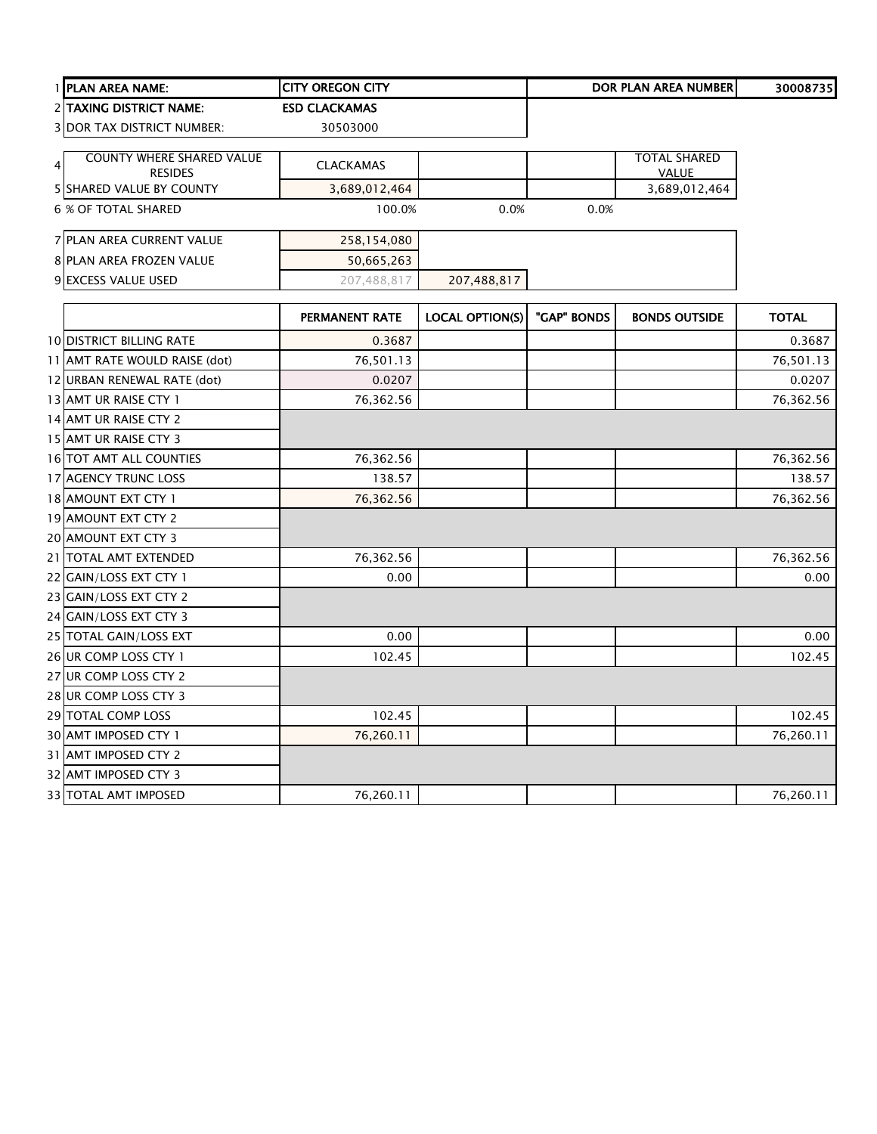|   | 1 PLAN AREA NAME:                 | <b>CITY OREGON CITY</b> |                        |             | <b>DOR PLAN AREA NUMBER</b> | 30008735     |
|---|-----------------------------------|-------------------------|------------------------|-------------|-----------------------------|--------------|
|   | 2 TAXING DISTRICT NAME:           | <b>ESD CLACKAMAS</b>    |                        |             |                             |              |
|   | <b>3 DOR TAX DISTRICT NUMBER:</b> | 30503000                |                        |             |                             |              |
|   | <b>COUNTY WHERE SHARED VALUE</b>  |                         |                        |             | <b>TOTAL SHARED</b>         |              |
| 4 | <b>RESIDES</b>                    | <b>CLACKAMAS</b>        |                        |             | <b>VALUE</b>                |              |
|   | <b>5 SHARED VALUE BY COUNTY</b>   | 3,689,012,464           |                        |             | 3,689,012,464               |              |
|   | 6 % OF TOTAL SHARED               | 100.0%                  | 0.0%                   | 0.0%        |                             |              |
|   | 7 PLAN AREA CURRENT VALUE         | 258,154,080             |                        |             |                             |              |
|   | 8 PLAN AREA FROZEN VALUE          | 50,665,263              |                        |             |                             |              |
|   | 9 EXCESS VALUE USED               | 207,488,817             | 207,488,817            |             |                             |              |
|   |                                   | PERMANENT RATE          | <b>LOCAL OPTION(S)</b> | "GAP" BONDS | <b>BONDS OUTSIDE</b>        | <b>TOTAL</b> |
|   | <b>10 DISTRICT BILLING RATE</b>   | 0.3687                  |                        |             |                             | 0.3687       |
|   | 11 AMT RATE WOULD RAISE (dot)     | 76,501.13               |                        |             |                             | 76,501.13    |
|   | 12 URBAN RENEWAL RATE (dot)       | 0.0207                  |                        |             |                             | 0.0207       |
|   | 13 AMT UR RAISE CTY 1             | 76,362.56               |                        |             |                             | 76,362.56    |
|   | 14 AMT UR RAISE CTY 2             |                         |                        |             |                             |              |
|   | 15 AMT UR RAISE CTY 3             |                         |                        |             |                             |              |
|   | 16 TOT AMT ALL COUNTIES           | 76,362.56               |                        |             |                             | 76,362.56    |
|   | 17 AGENCY TRUNC LOSS              | 138.57                  |                        |             |                             | 138.57       |
|   | 18 AMOUNT EXT CTY 1               | 76,362.56               |                        |             |                             | 76,362.56    |
|   | 19 AMOUNT EXT CTY 2               |                         |                        |             |                             |              |
|   | 20 AMOUNT EXT CTY 3               |                         |                        |             |                             |              |
|   | 21 TOTAL AMT EXTENDED             | 76,362.56               |                        |             |                             | 76,362.56    |
|   | 22 GAIN/LOSS EXT CTY 1            | 0.00                    |                        |             |                             | 0.00         |
|   | 23 GAIN/LOSS EXT CTY 2            |                         |                        |             |                             |              |
|   | 24 GAIN/LOSS EXT CTY 3            |                         |                        |             |                             |              |
|   | 25 TOTAL GAIN/LOSS EXT            | 0.00                    |                        |             |                             | 0.00         |
|   | 26 UR COMP LOSS CTY 1             | 102.45                  |                        |             |                             | 102.45       |
|   | 27 UR COMP LOSS CTY 2             |                         |                        |             |                             |              |
|   | 28 UR COMP LOSS CTY 3             |                         |                        |             |                             |              |
|   | 29 TOTAL COMP LOSS                | 102.45                  |                        |             |                             | 102.45       |
|   | 30 AMT IMPOSED CTY 1              | 76,260.11               |                        |             |                             | 76,260.11    |
|   | 31 AMT IMPOSED CTY 2              |                         |                        |             |                             |              |
|   | 32 AMT IMPOSED CTY 3              |                         |                        |             |                             |              |
|   | <b>33 TOTAL AMT IMPOSED</b>       | 76,260.11               |                        |             |                             | 76,260.11    |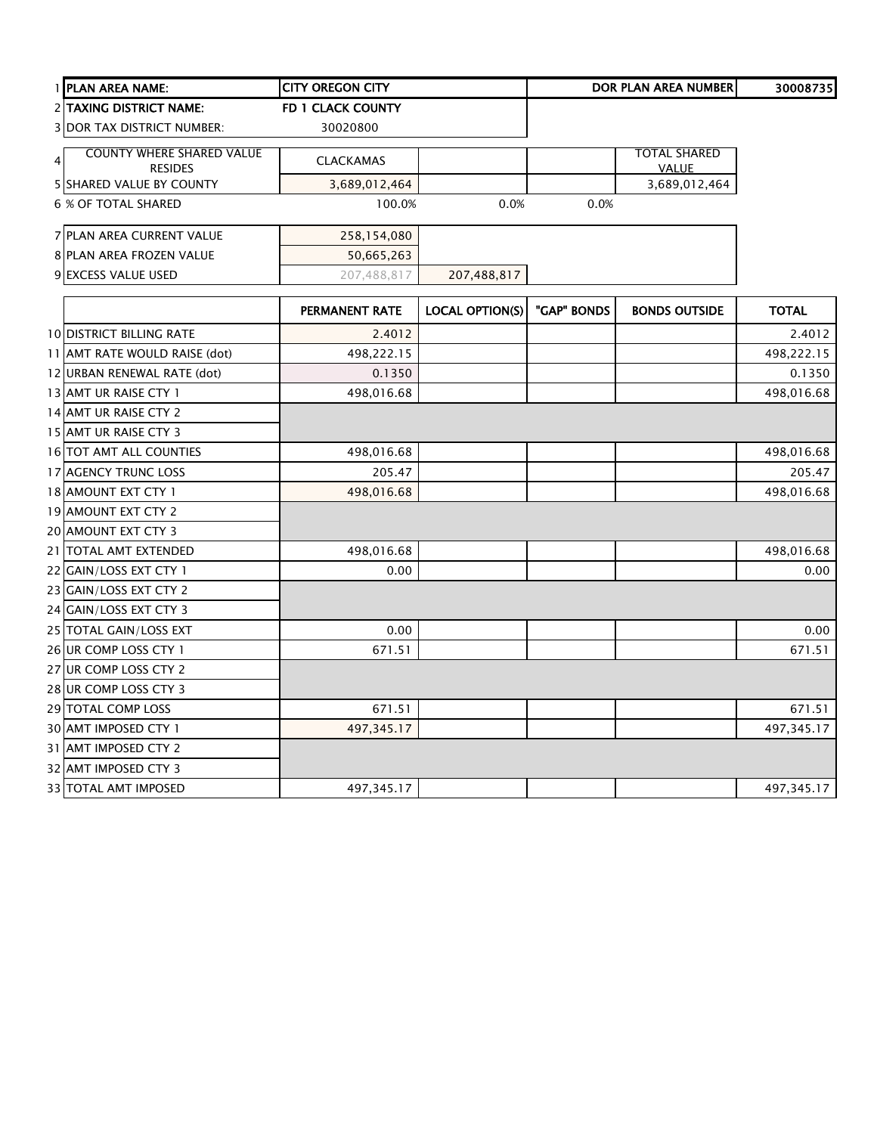|                | 1 PLAN AREA NAME:                 | <b>CITY OREGON CITY</b> |                        |             | DOR PLAN AREA NUMBER | 30008735     |
|----------------|-----------------------------------|-------------------------|------------------------|-------------|----------------------|--------------|
|                | 2 TAXING DISTRICT NAME:           | FD 1 CLACK COUNTY       |                        |             |                      |              |
|                | <b>3 DOR TAX DISTRICT NUMBER:</b> | 30020800                |                        |             |                      |              |
| $\overline{4}$ | <b>COUNTY WHERE SHARED VALUE</b>  | <b>CLACKAMAS</b>        |                        |             | TOTAL SHARED         |              |
|                | <b>RESIDES</b>                    |                         |                        |             | <b>VALUE</b>         |              |
|                | 5 SHARED VALUE BY COUNTY          | 3,689,012,464           |                        |             | 3,689,012,464        |              |
|                | <b>6 % OF TOTAL SHARED</b>        | 100.0%                  | 0.0%                   | 0.0%        |                      |              |
|                | 7 PLAN AREA CURRENT VALUE         | 258,154,080             |                        |             |                      |              |
|                | 8 PLAN AREA FROZEN VALUE          | 50,665,263              |                        |             |                      |              |
|                | 9 EXCESS VALUE USED               | 207,488,817             | 207,488,817            |             |                      |              |
|                |                                   | PERMANENT RATE          | <b>LOCAL OPTION(S)</b> | "GAP" BONDS | <b>BONDS OUTSIDE</b> | <b>TOTAL</b> |
|                | <b>10 DISTRICT BILLING RATE</b>   | 2.4012                  |                        |             |                      | 2.4012       |
|                | 11 AMT RATE WOULD RAISE (dot)     | 498,222.15              |                        |             |                      | 498,222.15   |
|                | 12 URBAN RENEWAL RATE (dot)       | 0.1350                  |                        |             |                      | 0.1350       |
|                | 13 AMT UR RAISE CTY 1             | 498,016.68              |                        |             |                      | 498,016.68   |
|                | 14 AMT UR RAISE CTY 2             |                         |                        |             |                      |              |
|                | 15 AMT UR RAISE CTY 3             |                         |                        |             |                      |              |
|                | 16 TOT AMT ALL COUNTIES           | 498,016.68              |                        |             |                      | 498,016.68   |
|                | 17 AGENCY TRUNC LOSS              | 205.47                  |                        |             |                      | 205.47       |
|                | 18 AMOUNT EXT CTY 1               | 498,016.68              |                        |             |                      | 498,016.68   |
|                | 19 AMOUNT EXT CTY 2               |                         |                        |             |                      |              |
|                | 20 AMOUNT EXT CTY 3               |                         |                        |             |                      |              |
|                | 21 TOTAL AMT EXTENDED             | 498,016.68              |                        |             |                      | 498,016.68   |
|                | 22 GAIN/LOSS EXT CTY 1            | 0.00                    |                        |             |                      | 0.00         |
|                | 23 GAIN/LOSS EXT CTY 2            |                         |                        |             |                      |              |
|                | 24 GAIN/LOSS EXT CTY 3            |                         |                        |             |                      |              |
|                | 25 TOTAL GAIN/LOSS EXT            | 0.00                    |                        |             |                      | 0.00         |
|                | 26 UR COMP LOSS CTY 1             | 671.51                  |                        |             |                      | 671.51       |
|                | 27 UR COMP LOSS CTY 2             |                         |                        |             |                      |              |
|                | 28 UR COMP LOSS CTY 3             |                         |                        |             |                      |              |
|                | 29 TOTAL COMP LOSS                | 671.51                  |                        |             |                      | 671.51       |
|                | 30 AMT IMPOSED CTY 1              | 497,345.17              |                        |             |                      | 497,345.17   |
|                | 31 AMT IMPOSED CTY 2              |                         |                        |             |                      |              |
|                | 32 AMT IMPOSED CTY 3              |                         |                        |             |                      |              |
|                | <b>33 TOTAL AMT IMPOSED</b>       | 497,345.17              |                        |             |                      | 497,345.17   |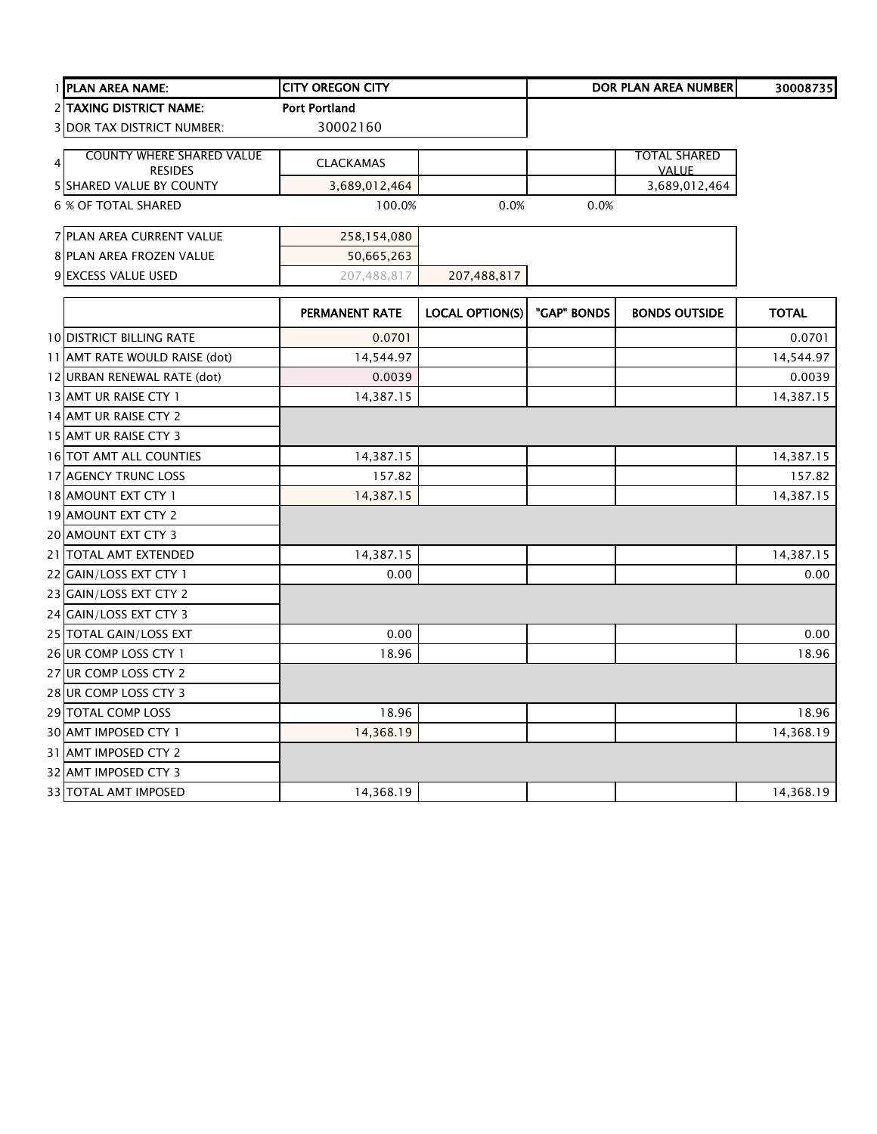| 1 PLAN AREA NAME:                 | <b>CITY OREGON CITY</b> |                        |             | <b>DOR PLAN AREA NUMBER</b> | 30008735     |
|-----------------------------------|-------------------------|------------------------|-------------|-----------------------------|--------------|
| <b>2 TAXING DISTRICT NAME:</b>    | <b>Port Portland</b>    |                        |             |                             |              |
| <b>3 DOR TAX DISTRICT NUMBER:</b> | 30002160                |                        |             |                             |              |
| <b>COUNTY WHERE SHARED VALUE</b>  |                         |                        |             | TOTAL SHARED                |              |
| $\overline{4}$<br><b>RESIDES</b>  | <b>CLACKAMAS</b>        |                        |             | <b>VALUE</b>                |              |
| <b>5 SHARED VALUE BY COUNTY</b>   | 3,689,012,464           |                        |             | 3,689,012,464               |              |
| <b>6 % OF TOTAL SHARED</b>        | 100.0%                  | 0.0%                   | 0.0%        |                             |              |
| 7 PLAN AREA CURRENT VALUE         | 258,154,080             |                        |             |                             |              |
| 8 PLAN AREA FROZEN VALUE          | 50,665,263              |                        |             |                             |              |
| 9 EXCESS VALUE USED               | 207,488,817             | 207,488,817            |             |                             |              |
|                                   | PERMANENT RATE          | <b>LOCAL OPTION(S)</b> | "GAP" BONDS | <b>BONDS OUTSIDE</b>        | <b>TOTAL</b> |
| <b>10 DISTRICT BILLING RATE</b>   | 0.0701                  |                        |             |                             | 0.0701       |
| 11 AMT RATE WOULD RAISE (dot)     | 14,544.97               |                        |             |                             | 14,544.97    |
| 12 URBAN RENEWAL RATE (dot)       | 0.0039                  |                        |             |                             | 0.0039       |
| 13 AMT UR RAISE CTY 1             | 14,387.15               |                        |             |                             | 14,387.15    |
| 14 AMT UR RAISE CTY 2             |                         |                        |             |                             |              |
| 15 AMT UR RAISE CTY 3             |                         |                        |             |                             |              |
| 16 TOT AMT ALL COUNTIES           | 14,387.15               |                        |             |                             | 14,387.15    |
| 17 AGENCY TRUNC LOSS              | 157.82                  |                        |             |                             | 157.82       |
| 18 AMOUNT EXT CTY 1               | 14,387.15               |                        |             |                             | 14,387.15    |
| 19 AMOUNT EXT CTY 2               |                         |                        |             |                             |              |
| 20 AMOUNT EXT CTY 3               |                         |                        |             |                             |              |
| 21 TOTAL AMT EXTENDED             | 14,387.15               |                        |             |                             | 14,387.15    |
| 22 GAIN/LOSS EXT CTY 1            | 0.00                    |                        |             |                             | 0.00         |
| 23 GAIN/LOSS EXT CTY 2            |                         |                        |             |                             |              |
| 24 GAIN/LOSS EXT CTY 3            |                         |                        |             |                             |              |
| 25 TOTAL GAIN/LOSS EXT            | 0.00                    |                        |             |                             | 0.00         |
| 26 UR COMP LOSS CTY 1             | 18.96                   |                        |             |                             | 18.96        |
| 27 UR COMP LOSS CTY 2             |                         |                        |             |                             |              |
| 28 UR COMP LOSS CTY 3             |                         |                        |             |                             |              |
| 29 TOTAL COMP LOSS                | 18.96                   |                        |             |                             | 18.96        |
| 30 AMT IMPOSED CTY 1              | 14,368.19               |                        |             |                             | 14,368.19    |
| 31 AMT IMPOSED CTY 2              |                         |                        |             |                             |              |
| 32 AMT IMPOSED CTY 3              |                         |                        |             |                             |              |
| <b>33 TOTAL AMT IMPOSED</b>       | 14,368.19               |                        |             |                             | 14,368.19    |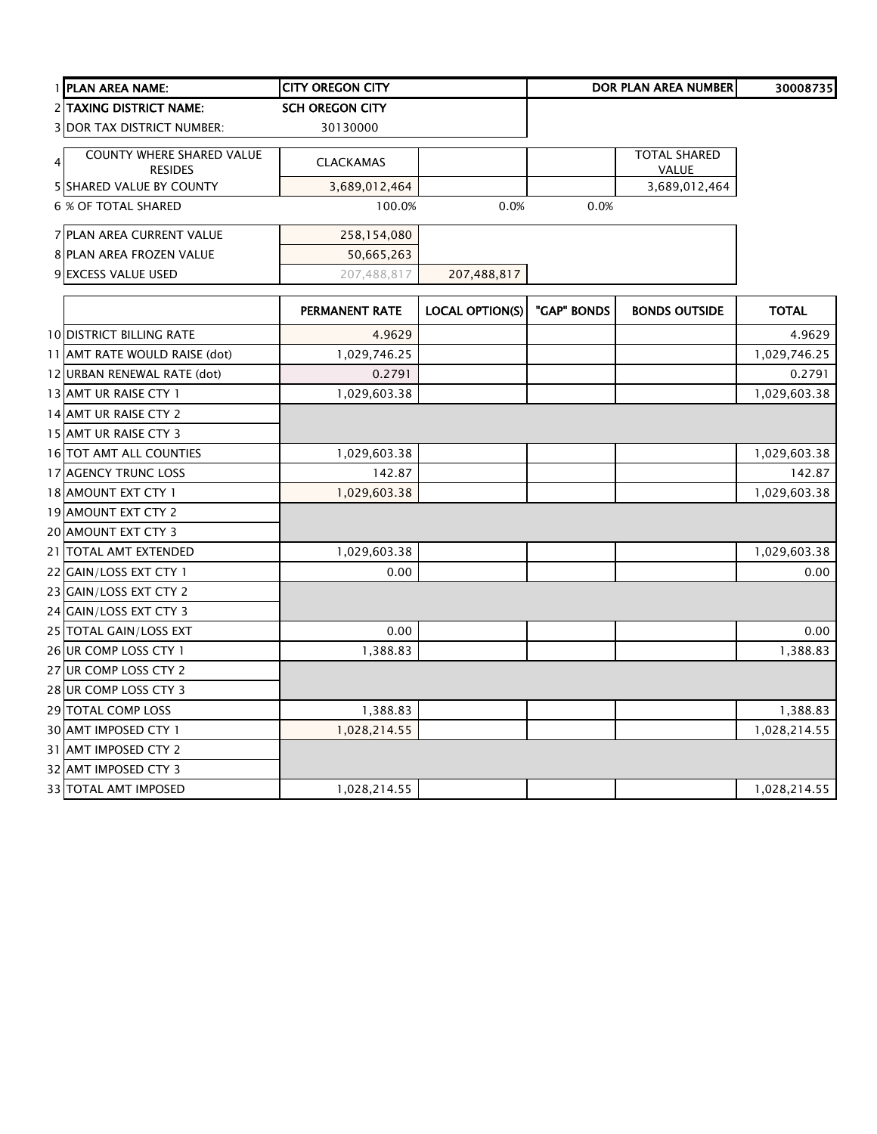| 1 PLAN AREA NAME:                                  | <b>CITY OREGON CITY</b> |                        |             | <b>DOR PLAN AREA NUMBER</b> | 30008735     |
|----------------------------------------------------|-------------------------|------------------------|-------------|-----------------------------|--------------|
| 2 TAXING DISTRICT NAME:                            | <b>SCH OREGON CITY</b>  |                        |             |                             |              |
| <b>3 DOR TAX DISTRICT NUMBER:</b>                  | 30130000                |                        |             |                             |              |
| <b>COUNTY WHERE SHARED VALUE</b><br>$\overline{4}$ | <b>CLACKAMAS</b>        |                        |             | <b>TOTAL SHARED</b>         |              |
| <b>RESIDES</b>                                     |                         |                        |             | VALUE                       |              |
| <b>5 SHARED VALUE BY COUNTY</b>                    | 3,689,012,464           |                        |             | 3,689,012,464               |              |
| <b>6 % OF TOTAL SHARED</b>                         | 100.0%                  | 0.0%                   | 0.0%        |                             |              |
| 7 PLAN AREA CURRENT VALUE                          | 258,154,080             |                        |             |                             |              |
| 8 PLAN AREA FROZEN VALUE                           | 50,665,263              |                        |             |                             |              |
| 9 EXCESS VALUE USED                                | 207,488,817             | 207,488,817            |             |                             |              |
|                                                    | PERMANENT RATE          | <b>LOCAL OPTION(S)</b> | "GAP" BONDS | <b>BONDS OUTSIDE</b>        | <b>TOTAL</b> |
|                                                    |                         |                        |             |                             |              |
| <b>10 DISTRICT BILLING RATE</b>                    | 4.9629                  |                        |             |                             | 4.9629       |
| 11 AMT RATE WOULD RAISE (dot)                      | 1,029,746.25            |                        |             |                             | 1,029,746.25 |
| 12 URBAN RENEWAL RATE (dot)                        | 0.2791                  |                        |             |                             | 0.2791       |
| 13 AMT UR RAISE CTY 1                              | 1,029,603.38            |                        |             |                             | 1,029,603.38 |
| 14 AMT UR RAISE CTY 2                              |                         |                        |             |                             |              |
| 15 AMT UR RAISE CTY 3                              |                         |                        |             |                             |              |
| 16 TOT AMT ALL COUNTIES                            | 1,029,603.38            |                        |             |                             | 1,029,603.38 |
| 17 AGENCY TRUNC LOSS                               | 142.87                  |                        |             |                             | 142.87       |
| 18 AMOUNT EXT CTY 1                                | 1,029,603.38            |                        |             |                             | 1,029,603.38 |
| 19 AMOUNT EXT CTY 2                                |                         |                        |             |                             |              |
| 20 AMOUNT EXT CTY 3                                |                         |                        |             |                             |              |
| 21 TOTAL AMT EXTENDED                              | 1,029,603.38            |                        |             |                             | 1,029,603.38 |
| 22 GAIN/LOSS EXT CTY 1                             | 0.00                    |                        |             |                             | 0.00         |
| 23 GAIN/LOSS EXT CTY 2                             |                         |                        |             |                             |              |
| 24 GAIN/LOSS EXT CTY 3                             |                         |                        |             |                             |              |
| 25 TOTAL GAIN/LOSS EXT                             | 0.00                    |                        |             |                             | 0.00         |
| 26 UR COMP LOSS CTY 1                              | 1,388.83                |                        |             |                             | 1,388.83     |
| 27 UR COMP LOSS CTY 2                              |                         |                        |             |                             |              |
| 28 UR COMP LOSS CTY 3                              |                         |                        |             |                             |              |
| 29 TOTAL COMP LOSS                                 | 1,388.83                |                        |             |                             | 1,388.83     |
| 30 AMT IMPOSED CTY 1                               | 1,028,214.55            |                        |             |                             | 1,028,214.55 |
| 31 AMT IMPOSED CTY 2                               |                         |                        |             |                             |              |
| 32 AMT IMPOSED CTY 3                               |                         |                        |             |                             |              |
| 33 TOTAL AMT IMPOSED                               | 1,028,214.55            |                        |             |                             | 1,028,214.55 |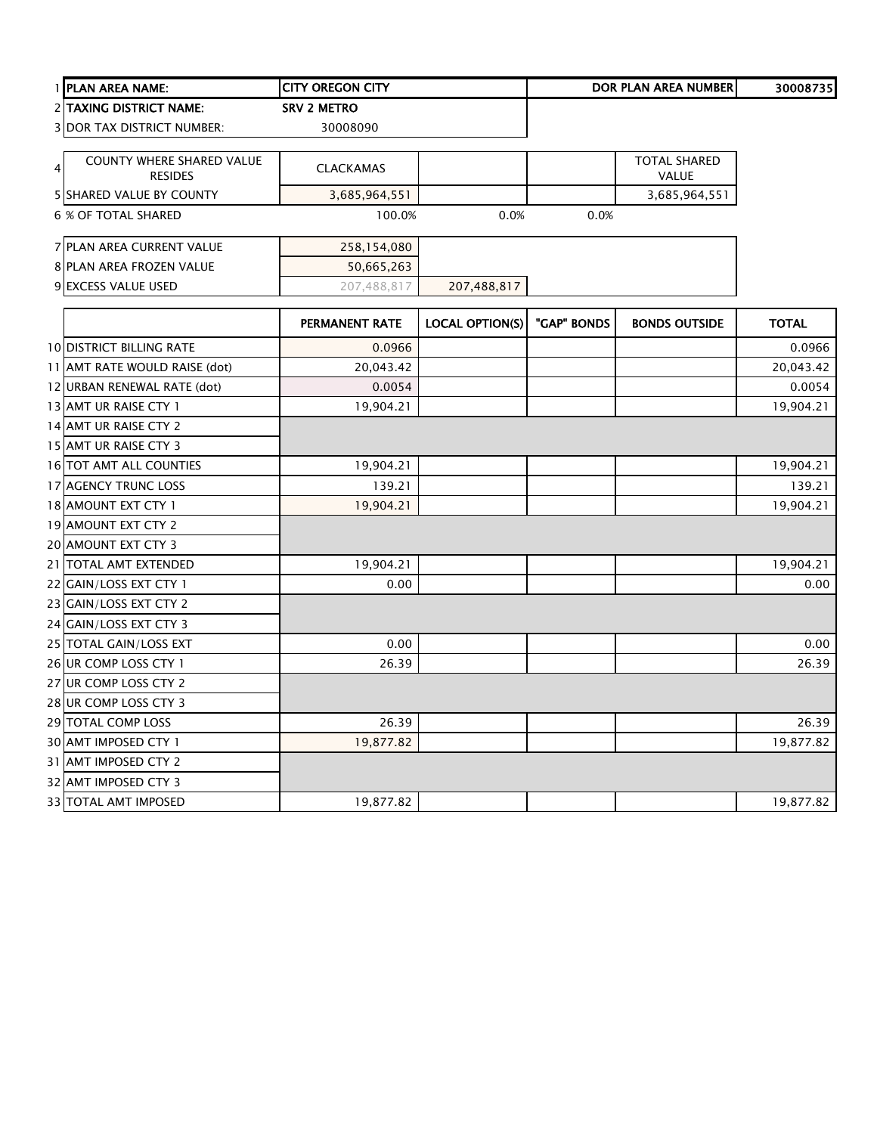|                | 1 PLAN AREA NAME:                           | <b>CITY OREGON CITY</b> |                        |             | <b>DOR PLAN AREA NUMBER</b>         | 30008735     |
|----------------|---------------------------------------------|-------------------------|------------------------|-------------|-------------------------------------|--------------|
|                | 2 TAXING DISTRICT NAME:                     | <b>SRV 2 METRO</b>      |                        |             |                                     |              |
|                | <b>3 DOR TAX DISTRICT NUMBER:</b>           | 30008090                |                        |             |                                     |              |
| $\overline{4}$ | COUNTY WHERE SHARED VALUE<br><b>RESIDES</b> | <b>CLACKAMAS</b>        |                        |             | <b>TOTAL SHARED</b><br><b>VALUE</b> |              |
|                | 5 SHARED VALUE BY COUNTY                    | 3,685,964,551           |                        |             | 3,685,964,551                       |              |
|                | 6 % OF TOTAL SHARED                         | 100.0%                  | 0.0%                   | 0.0%        |                                     |              |
|                | 7 PLAN AREA CURRENT VALUE                   | 258,154,080             |                        |             |                                     |              |
|                | 8 PLAN AREA FROZEN VALUE                    | 50,665,263              |                        |             |                                     |              |
|                | 9 EXCESS VALUE USED                         | 207,488,817             | 207,488,817            |             |                                     |              |
|                |                                             | <b>PERMANENT RATE</b>   | <b>LOCAL OPTION(S)</b> | "GAP" BONDS | <b>BONDS OUTSIDE</b>                | <b>TOTAL</b> |
|                | <b>10 DISTRICT BILLING RATE</b>             | 0.0966                  |                        |             |                                     | 0.0966       |
|                | 11 AMT RATE WOULD RAISE (dot)               | 20,043.42               |                        |             |                                     | 20,043.42    |
|                | 12 URBAN RENEWAL RATE (dot)                 | 0.0054                  |                        |             |                                     | 0.0054       |
|                | 13 AMT UR RAISE CTY 1                       | 19,904.21               |                        |             |                                     | 19,904.21    |
|                | 14 AMT UR RAISE CTY 2                       |                         |                        |             |                                     |              |
|                | 15 AMT UR RAISE CTY 3                       |                         |                        |             |                                     |              |
|                | 16 TOT AMT ALL COUNTIES                     | 19,904.21               |                        |             |                                     | 19,904.21    |
|                | 17 AGENCY TRUNC LOSS                        | 139.21                  |                        |             |                                     | 139.21       |
|                | 18 AMOUNT EXT CTY 1                         | 19,904.21               |                        |             |                                     | 19,904.21    |
|                | 19 AMOUNT EXT CTY 2                         |                         |                        |             |                                     |              |
|                | 20 AMOUNT EXT CTY 3                         |                         |                        |             |                                     |              |
|                | 21 TOTAL AMT EXTENDED                       | 19,904.21               |                        |             |                                     | 19,904.21    |
|                | 22 GAIN/LOSS EXT CTY 1                      | 0.00                    |                        |             |                                     | 0.00         |
|                | 23 GAIN/LOSS EXT CTY 2                      |                         |                        |             |                                     |              |
|                | 24 GAIN/LOSS EXT CTY 3                      |                         |                        |             |                                     |              |
|                | 25 TOTAL GAIN/LOSS EXT                      | 0.00                    |                        |             |                                     | 0.00         |
|                | 26 UR COMP LOSS CTY 1                       | 26.39                   |                        |             |                                     | 26.39        |
|                | 27 UR COMP LOSS CTY 2                       |                         |                        |             |                                     |              |
|                | 28 UR COMP LOSS CTY 3                       |                         |                        |             |                                     |              |
|                | 29 TOTAL COMP LOSS                          | 26.39                   |                        |             |                                     | 26.39        |
|                | 30 AMT IMPOSED CTY 1                        | 19,877.82               |                        |             |                                     | 19,877.82    |
|                | 31 AMT IMPOSED CTY 2                        |                         |                        |             |                                     |              |
|                | 32 AMT IMPOSED CTY 3                        |                         |                        |             |                                     |              |
|                | 33 TOTAL AMT IMPOSED                        | 19,877.82               |                        |             |                                     | 19,877.82    |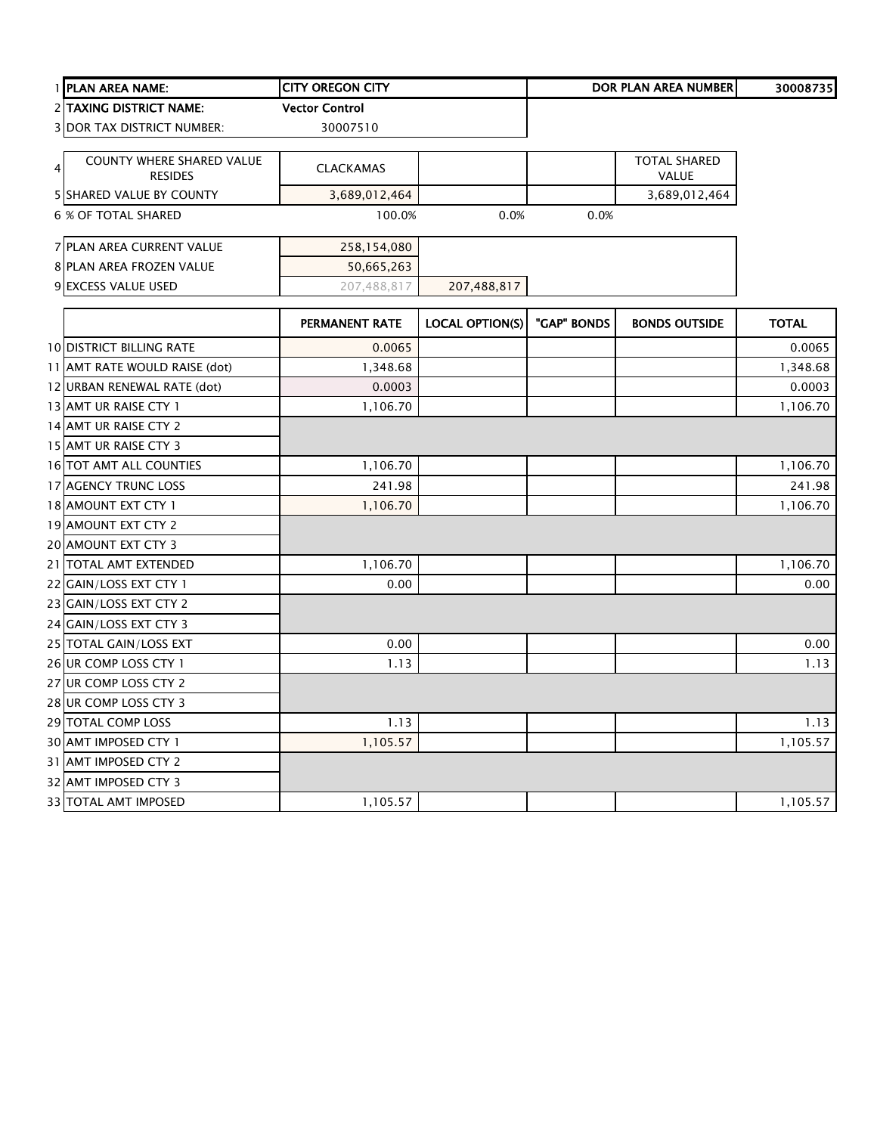|   | 1 PLAN AREA NAME:                           | <b>CITY OREGON CITY</b> |                        |             | <b>DOR PLAN AREA NUMBER</b>         | 30008735     |
|---|---------------------------------------------|-------------------------|------------------------|-------------|-------------------------------------|--------------|
|   | 2 TAXING DISTRICT NAME:                     | <b>Vector Control</b>   |                        |             |                                     |              |
|   | 3 DOR TAX DISTRICT NUMBER:                  | 30007510                |                        |             |                                     |              |
| 4 | COUNTY WHERE SHARED VALUE<br><b>RESIDES</b> | <b>CLACKAMAS</b>        |                        |             | <b>TOTAL SHARED</b><br><b>VALUE</b> |              |
|   | 5 SHARED VALUE BY COUNTY                    | 3,689,012,464           |                        |             | 3,689,012,464                       |              |
|   | 6 % OF TOTAL SHARED                         | 100.0%                  | 0.0%                   | 0.0%        |                                     |              |
|   | 7 PLAN AREA CURRENT VALUE                   | 258,154,080             |                        |             |                                     |              |
|   | 8 PLAN AREA FROZEN VALUE                    | 50,665,263              |                        |             |                                     |              |
|   | 9 EXCESS VALUE USED                         | 207,488,817             | 207,488,817            |             |                                     |              |
|   |                                             | PERMANENT RATE          | <b>LOCAL OPTION(S)</b> | "GAP" BONDS | <b>BONDS OUTSIDE</b>                | <b>TOTAL</b> |
|   | <b>10 DISTRICT BILLING RATE</b>             | 0.0065                  |                        |             |                                     | 0.0065       |
|   | 11 AMT RATE WOULD RAISE (dot)               | 1,348.68                |                        |             |                                     | 1,348.68     |
|   | 12 URBAN RENEWAL RATE (dot)                 | 0.0003                  |                        |             |                                     | 0.0003       |
|   | 13 AMT UR RAISE CTY 1                       | 1,106.70                |                        |             |                                     | 1,106.70     |
|   | 14 AMT UR RAISE CTY 2                       |                         |                        |             |                                     |              |
|   | 15 AMT UR RAISE CTY 3                       |                         |                        |             |                                     |              |
|   | 16 TOT AMT ALL COUNTIES                     | 1,106.70                |                        |             |                                     | 1,106.70     |
|   | 17 AGENCY TRUNC LOSS                        | 241.98                  |                        |             |                                     | 241.98       |
|   | 18 AMOUNT EXT CTY 1                         | 1,106.70                |                        |             |                                     | 1,106.70     |
|   | 19 AMOUNT EXT CTY 2                         |                         |                        |             |                                     |              |
|   | 20 AMOUNT EXT CTY 3                         |                         |                        |             |                                     |              |
|   | 21 TOTAL AMT EXTENDED                       | 1,106.70                |                        |             |                                     | 1,106.70     |
|   | 22 GAIN/LOSS EXT CTY 1                      | 0.00                    |                        |             |                                     | 0.00         |
|   | 23 GAIN/LOSS EXT CTY 2                      |                         |                        |             |                                     |              |
|   | 24 GAIN/LOSS EXT CTY 3                      |                         |                        |             |                                     |              |
|   | 25 TOTAL GAIN/LOSS EXT                      | 0.00                    |                        |             |                                     | 0.00         |
|   | 26 UR COMP LOSS CTY 1                       | 1.13                    |                        |             |                                     | 1.13         |
|   | 27 UR COMP LOSS CTY 2                       |                         |                        |             |                                     |              |
|   | 28 UR COMP LOSS CTY 3                       |                         |                        |             |                                     |              |
|   | 29 TOTAL COMP LOSS                          | 1.13                    |                        |             |                                     | 1.13         |
|   | 30 AMT IMPOSED CTY 1                        | 1,105.57                |                        |             |                                     | 1,105.57     |
|   | 31 AMT IMPOSED CTY 2                        |                         |                        |             |                                     |              |
|   | 32 AMT IMPOSED CTY 3                        |                         |                        |             |                                     |              |
|   | 33 TOTAL AMT IMPOSED                        | 1,105.57                |                        |             |                                     | 1,105.57     |